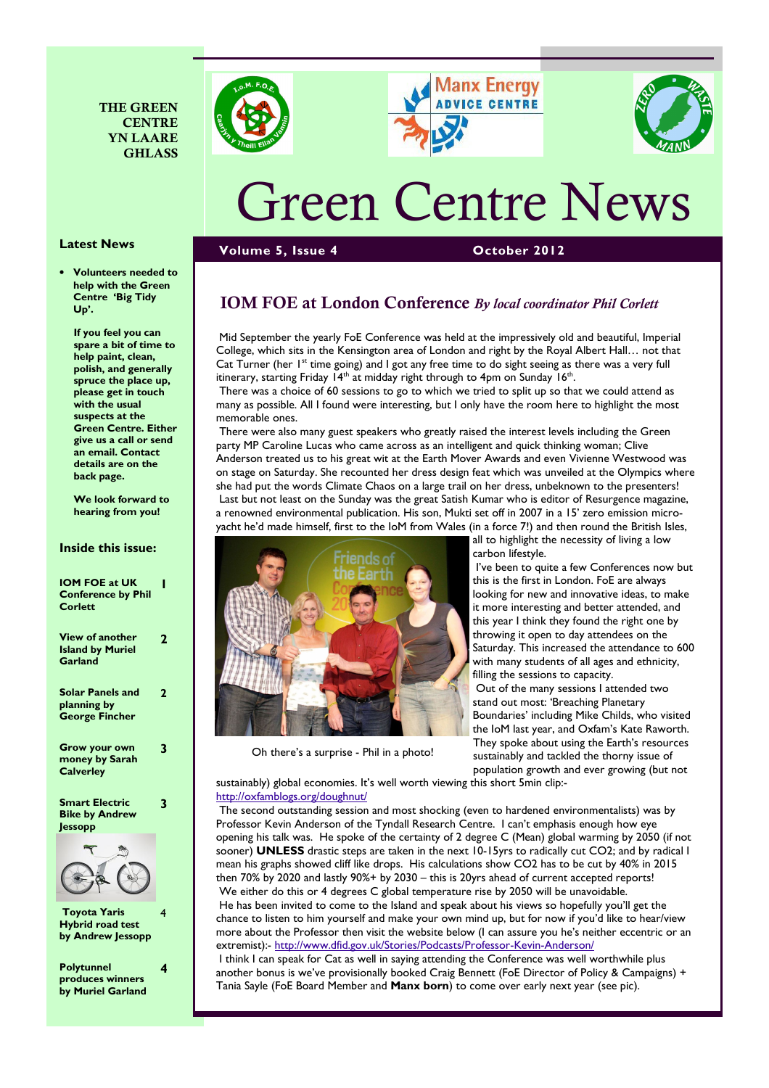





# Green Centre News

#### Latest News

• Volunteers needed to help with the Green Centre 'Big Tidy Up'.

If you feel you can spare a bit of time to help paint, clean, polish, and generally spruce the place up, please get in touch with the usual suspects at the Green Centre. Either give us a call or send an email. Contact details are on the back page.

We look forward to hearing from you!

#### Inside this issue:

| <b>IOM FOE at UK</b><br><b>Conference by Phil</b><br>Corlett    |   |
|-----------------------------------------------------------------|---|
| <b>View of another</b><br><b>Island by Muriel</b><br>Garland    | 7 |
| <b>Solar Panels and</b><br>planning by<br><b>George Fincher</b> | 2 |
| Grow your own<br>money by Sarah<br><b>Calverley</b>             | 7 |
| <b>Smart Electric</b><br><b>Bike by Andrew</b><br>Jessopp       | 7 |



 Toyota Yaris Hybrid road test by Andrew Jessopp 4

4

Polytunnel produces winners by Muriel Garland

# IOM FOE at London Conference By local coordinator Phil Corlett

Volume 5, Issue 4 October 2012

 Mid September the yearly FoE Conference was held at the impressively old and beautiful, Imperial College, which sits in the Kensington area of London and right by the Royal Albert Hall… not that Cat Turner (her  $I^{\text{st}}$  time going) and I got any free time to do sight seeing as there was a very full itinerary, starting Friday 14<sup>th</sup> at midday right through to 4pm on Sunday 16<sup>th</sup>.

 There was a choice of 60 sessions to go to which we tried to split up so that we could attend as many as possible. All I found were interesting, but I only have the room here to highlight the most memorable ones.

 There were also many guest speakers who greatly raised the interest levels including the Green party MP Caroline Lucas who came across as an intelligent and quick thinking woman; Clive Anderson treated us to his great wit at the Earth Mover Awards and even Vivienne Westwood was on stage on Saturday. She recounted her dress design feat which was unveiled at the Olympics where she had put the words Climate Chaos on a large trail on her dress, unbeknown to the presenters! Last but not least on the Sunday was the great Satish Kumar who is editor of Resurgence magazine, a renowned environmental publication. His son, Mukti set off in 2007 in a 15' zero emission microyacht he'd made himself, first to the IoM from Wales (in a force 7!) and then round the British Isles,



Oh there's a surprise - Phil in a photo!

all to highlight the necessity of living a low carbon lifestyle.

 I've been to quite a few Conferences now but this is the first in London. FoE are always looking for new and innovative ideas, to make it more interesting and better attended, and this year I think they found the right one by throwing it open to day attendees on the Saturday. This increased the attendance to 600 with many students of all ages and ethnicity, filling the sessions to capacity. Out of the many sessions I attended two stand out most: 'Breaching Planetary Boundaries' including Mike Childs, who visited the IoM last year, and Oxfam's Kate Raworth. They spoke about using the Earth's resources sustainably and tackled the thorny issue of population growth and ever growing (but not

sustainably) global economies. It's well worth viewing this short 5min clip: http://oxfamblogs.org/doughnut/

 The second outstanding session and most shocking (even to hardened environmentalists) was by Professor Kevin Anderson of the Tyndall Research Centre. I can't emphasis enough how eye opening his talk was. He spoke of the certainty of 2 degree C (Mean) global warming by 2050 (if not sooner) UNLESS drastic steps are taken in the next 10-15yrs to radically cut CO2; and by radical I mean his graphs showed cliff like drops. His calculations show CO2 has to be cut by 40% in 2015 then 70% by 2020 and lastly 90%+ by 2030 – this is 20yrs ahead of current accepted reports! We either do this or 4 degrees C global temperature rise by 2050 will be unavoidable. He has been invited to come to the Island and speak about his views so hopefully you'll get the chance to listen to him yourself and make your own mind up, but for now if you'd like to hear/view more about the Professor then visit the website below (I can assure you he's neither eccentric or an extremist):- http://www.dfid.gov.uk/Stories/Podcasts/Professor-Kevin-Anderson/

 I think I can speak for Cat as well in saying attending the Conference was well worthwhile plus another bonus is we've provisionally booked Craig Bennett (FoE Director of Policy & Campaigns) + Tania Sayle (FoE Board Member and Manx born) to come over early next year (see pic).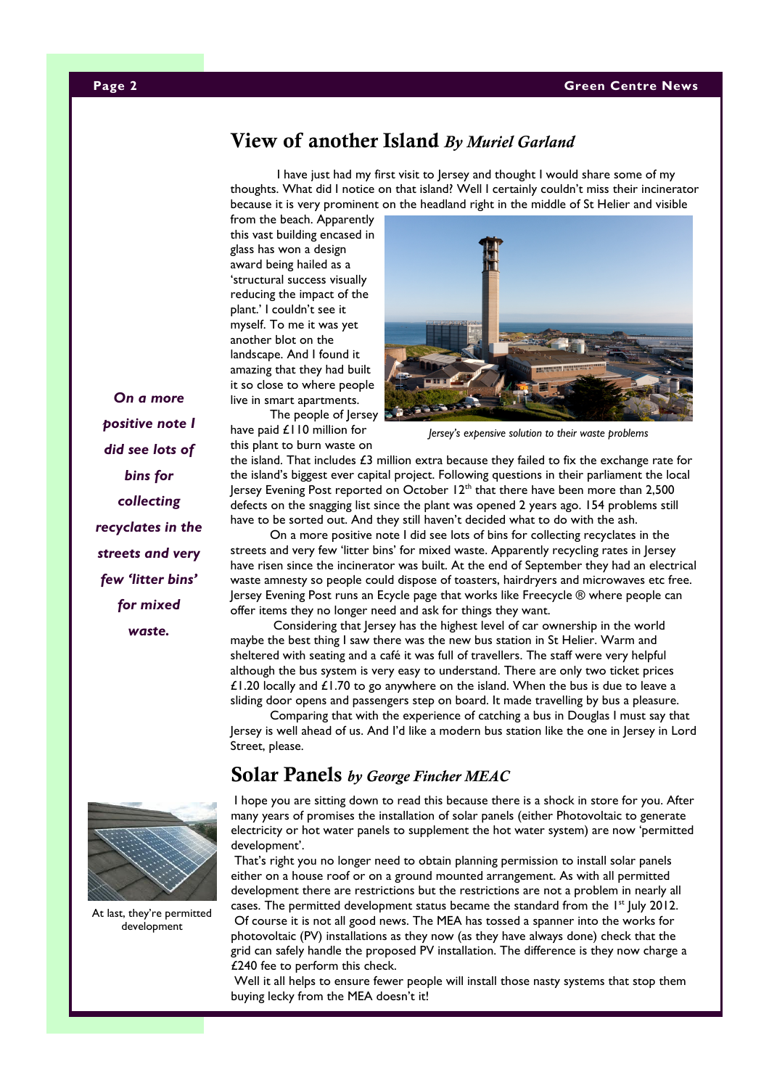#### Page 2 Green Centre News

# View of another Island By Muriel Garland

 I have just had my first visit to Jersey and thought I would share some of my thoughts. What did I notice on that island? Well I certainly couldn't miss their incinerator because it is very prominent on the headland right in the middle of St Helier and visible

from the beach. Apparently this vast building encased in glass has won a design award being hailed as a 'structural success visually reducing the impact of the plant.' I couldn't see it myself. To me it was yet another blot on the landscape. And I found it amazing that they had built it so close to where people live in smart apartments.

 The people of Jersey have paid £110 million for this plant to burn waste on



Jersey's expensive solution to their waste problems

the island. That includes £3 million extra because they failed to fix the exchange rate for the island's biggest ever capital project. Following questions in their parliament the local Jersey Evening Post reported on October 12<sup>th</sup> that there have been more than 2,500 defects on the snagging list since the plant was opened 2 years ago. 154 problems still have to be sorted out. And they still haven't decided what to do with the ash.

 On a more positive note I did see lots of bins for collecting recyclates in the streets and very few 'litter bins' for mixed waste. Apparently recycling rates in Jersey have risen since the incinerator was built. At the end of September they had an electrical waste amnesty so people could dispose of toasters, hairdryers and microwaves etc free. Jersey Evening Post runs an Ecycle page that works like Freecycle ® where people can offer items they no longer need and ask for things they want.

 Considering that Jersey has the highest level of car ownership in the world maybe the best thing I saw there was the new bus station in St Helier. Warm and sheltered with seating and a café it was full of travellers. The staff were very helpful although the bus system is very easy to understand. There are only two ticket prices £1.20 locally and £1.70 to go anywhere on the island. When the bus is due to leave a sliding door opens and passengers step on board. It made travelling by bus a pleasure.

 Comparing that with the experience of catching a bus in Douglas I must say that Jersey is well ahead of us. And I'd like a modern bus station like the one in Jersey in Lord Street, please.

# Solar Panels by George Fincher MEAC

 I hope you are sitting down to read this because there is a shock in store for you. After many years of promises the installation of solar panels (either Photovoltaic to generate electricity or hot water panels to supplement the hot water system) are now 'permitted development'.

 That's right you no longer need to obtain planning permission to install solar panels either on a house roof or on a ground mounted arrangement. As with all permitted development there are restrictions but the restrictions are not a problem in nearly all cases. The permitted development status became the standard from the  $1<sup>st</sup>$  July 2012. Of course it is not all good news. The MEA has tossed a spanner into the works for photovoltaic (PV) installations as they now (as they have always done) check that the grid can safely handle the proposed PV installation. The difference is they now charge a £240 fee to perform this check.

 Well it all helps to ensure fewer people will install those nasty systems that stop them buying lecky from the MEA doesn't it!

On a more positive note I did see lots of bins for collecting recyclates in the streets and very few 'litter bins' for mixed waste.



At last, they're permitted development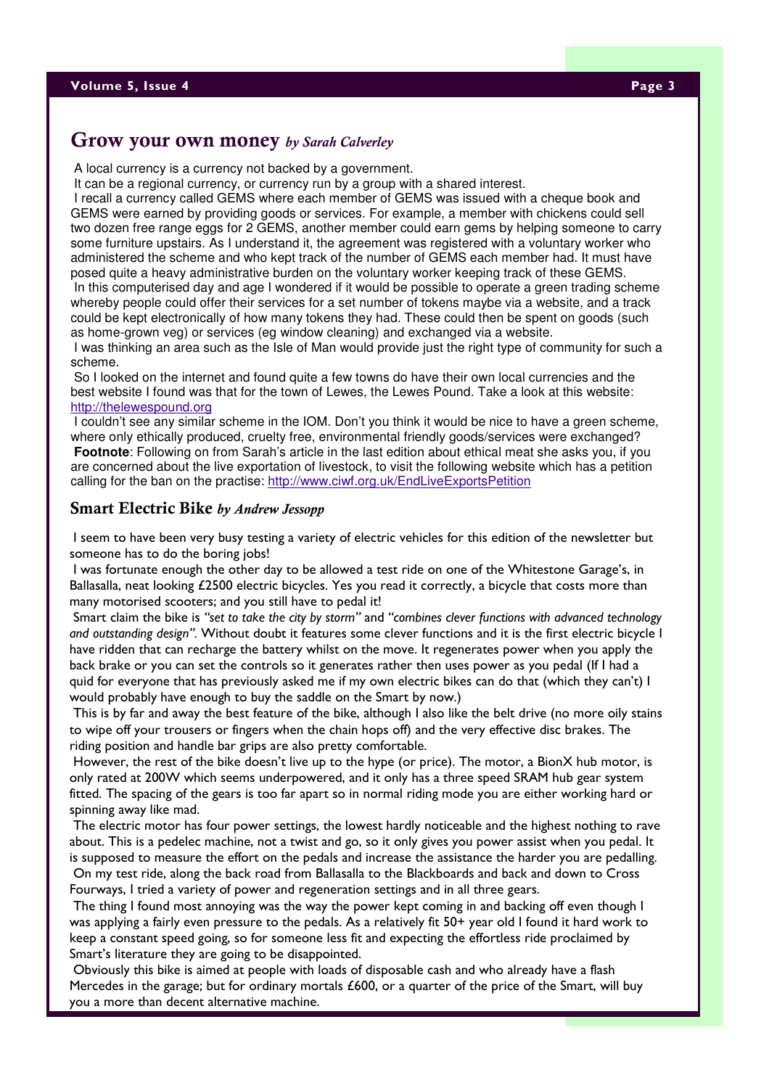# Grow your own money by Sarah Calverley

A local currency is a currency not backed by a government.

It can be a regional currency, or currency run by a group with a shared interest.

 I recall a currency called GEMS where each member of GEMS was issued with a cheque book and GEMS were earned by providing goods or services. For example, a member with chickens could sell two dozen free range eggs for 2 GEMS, another member could earn gems by helping someone to carry some furniture upstairs. As I understand it, the agreement was registered with a voluntary worker who administered the scheme and who kept track of the number of GEMS each member had. It must have posed quite a heavy administrative burden on the voluntary worker keeping track of these GEMS.

 In this computerised day and age I wondered if it would be possible to operate a green trading scheme whereby people could offer their services for a set number of tokens maybe via a website, and a track could be kept electronically of how many tokens they had. These could then be spent on goods (such as home-grown veg) or services (eg window cleaning) and exchanged via a website.

 I was thinking an area such as the Isle of Man would provide just the right type of community for such a scheme.

 So I looked on the internet and found quite a few towns do have their own local currencies and the best website I found was that for the town of Lewes, the Lewes Pound. Take a look at this website: http://thelewespound.org

 I couldn't see any similar scheme in the IOM. Don't you think it would be nice to have a green scheme, where only ethically produced, cruelty free, environmental friendly goods/services were exchanged? **Footnote**: Following on from Sarah's article in the last edition about ethical meat she asks you, if you are concerned about the live exportation of livestock, to visit the following website which has a petition calling for the ban on the practise: http://www.ciwf.org.uk/EndLiveExportsPetition

### Smart Electric Bike by Andrew Jessopp

 I seem to have been very busy testing a variety of electric vehicles for this edition of the newsletter but someone has to do the boring jobs!

 I was fortunate enough the other day to be allowed a test ride on one of the Whitestone Garage's, in Ballasalla, neat looking £2500 electric bicycles. Yes you read it correctly, a bicycle that costs more than many motorised scooters; and you still have to pedal it!

 Smart claim the bike is "set to take the city by storm" and "combines clever functions with advanced technology and outstanding design". Without doubt it features some clever functions and it is the first electric bicycle I have ridden that can recharge the battery whilst on the move. It regenerates power when you apply the back brake or you can set the controls so it generates rather then uses power as you pedal (If I had a quid for everyone that has previously asked me if my own electric bikes can do that (which they can't) I would probably have enough to buy the saddle on the Smart by now.)

 This is by far and away the best feature of the bike, although I also like the belt drive (no more oily stains to wipe off your trousers or fingers when the chain hops off) and the very effective disc brakes. The riding position and handle bar grips are also pretty comfortable.

 However, the rest of the bike doesn't live up to the hype (or price). The motor, a BionX hub motor, is only rated at 200W which seems underpowered, and it only has a three speed SRAM hub gear system fitted. The spacing of the gears is too far apart so in normal riding mode you are either working hard or spinning away like mad.

 The electric motor has four power settings, the lowest hardly noticeable and the highest nothing to rave about. This is a pedelec machine, not a twist and go, so it only gives you power assist when you pedal. It is supposed to measure the effort on the pedals and increase the assistance the harder you are pedalling. On my test ride, along the back road from Ballasalla to the Blackboards and back and down to Cross Fourways, I tried a variety of power and regeneration settings and in all three gears.

 The thing I found most annoying was the way the power kept coming in and backing off even though I was applying a fairly even pressure to the pedals. As a relatively fit 50+ year old I found it hard work to keep a constant speed going, so for someone less fit and expecting the effortless ride proclaimed by Smart's literature they are going to be disappointed.

 Obviously this bike is aimed at people with loads of disposable cash and who already have a flash Mercedes in the garage; but for ordinary mortals £600, or a quarter of the price of the Smart, will buy you a more than decent alternative machine.